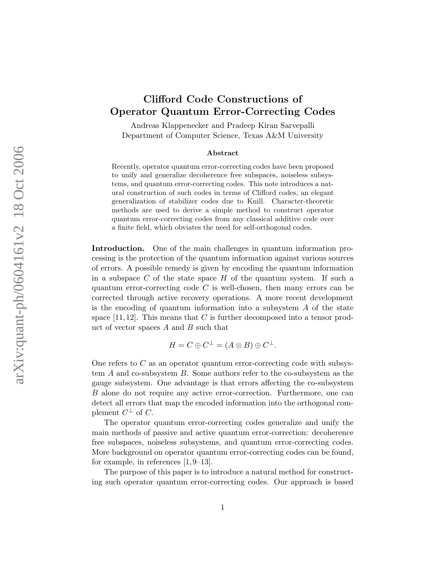## Clifford Code Constructions of Operator Quantum Error-Correcting Codes

Andreas Klappenecker and Pradeep Kiran Sarvepalli Department of Computer Science, Texas A&M University

## Abstract

Recently, operator quantum error-correcting codes have been proposed to unify and generalize decoherence free subspaces, noiseless subsystems, and quantum error-correcting codes. This note introduces a natural construction of such codes in terms of Clifford codes, an elegant generalization of stabilizer codes due to Knill. Character-theoretic methods are used to derive a simple method to construct operator quantum error-correcting codes from any classical additive code over a finite field, which obviates the need for self-orthogonal codes.

Introduction. One of the main challenges in quantum information processing is the protection of the quantum information against various sources of errors. A possible remedy is given by encoding the quantum information in a subspace  $C$  of the state space  $H$  of the quantum system. If such a quantum error-correcting code  $C$  is well-chosen, then many errors can be corrected through active recovery operations. A more recent development is the encoding of quantum information into a subsystem  $A$  of the state space [11, 12]. This means that C is further decomposed into a tensor product of vector spaces  $A$  and  $B$  such that

$$
H = C \oplus C^{\perp} = (A \otimes B) \oplus C^{\perp}.
$$

One refers to  $C$  as an operator quantum error-correcting code with subsystem A and co-subsystem B. Some authors refer to the co-subsystem as the gauge subsystem. One advantage is that errors affecting the co-subsystem B alone do not require any active error-correction. Furthermore, one can detect all errors that map the encoded information into the orthogonal complement  $C^{\perp}$  of C.

The operator quantum error-correcting codes generalize and unify the main methods of passive and active quantum error-correction: decoherence free subspaces, noiseless subsystems, and quantum error-correcting codes. More background on operator quantum error-correcting codes can be found, for example, in references [1, 9–13].

The purpose of this paper is to introduce a natural method for constructing such operator quantum error-correcting codes. Our approach is based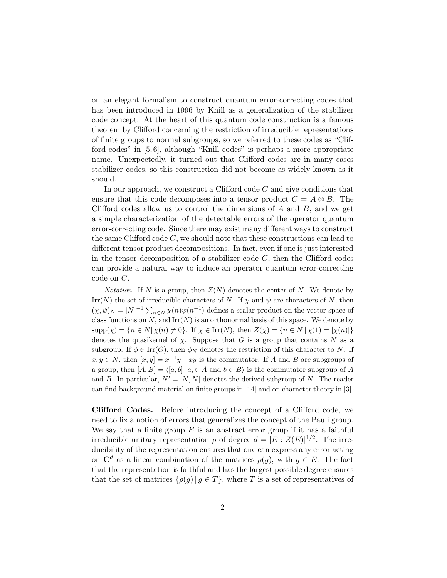on an elegant formalism to construct quantum error-correcting codes that has been introduced in 1996 by Knill as a generalization of the stabilizer code concept. At the heart of this quantum code construction is a famous theorem by Clifford concerning the restriction of irreducible representations of finite groups to normal subgroups, so we referred to these codes as "Clifford codes" in [5, 6], although "Knill codes" is perhaps a more appropriate name. Unexpectedly, it turned out that Clifford codes are in many cases stabilizer codes, so this construction did not become as widely known as it should.

In our approach, we construct a Clifford code  $C$  and give conditions that ensure that this code decomposes into a tensor product  $C = A \otimes B$ . The Clifford codes allow us to control the dimensions of  $A$  and  $B$ , and we get a simple characterization of the detectable errors of the operator quantum error-correcting code. Since there may exist many different ways to construct the same Clifford code  $C$ , we should note that these constructions can lead to different tensor product decompositions. In fact, even if one is just interested in the tensor decomposition of a stabilizer code  $C$ , then the Clifford codes can provide a natural way to induce an operator quantum error-correcting code on C.

*Notation.* If N is a group, then  $Z(N)$  denotes the center of N. We denote by  $\text{Irr}(N)$  the set of irreducible characters of N. If  $\chi$  and  $\psi$  are characters of N, then  $(\chi, \psi)_N = |N|^{-1} \sum_{n \in N} \chi(n) \psi(n^{-1})$  defines a scalar product on the vector space of class functions on  $N$ , and  $\text{Irr}(N)$  is an orthonormal basis of this space. We denote by  $\text{supp}(\chi) = \{n \in N | \chi(n) \neq 0\}.$  If  $\chi \in \text{Irr}(N)$ , then  $Z(\chi) = \{n \in N | \chi(1) = |\chi(n)|\}$ denotes the quasikernel of  $\chi$ . Suppose that G is a group that contains N as a subgroup. If  $\phi \in \text{Irr}(G)$ , then  $\phi_N$  denotes the restriction of this character to N. If  $x, y \in N$ , then  $[x, y] = x^{-1}y^{-1}xy$  is the commutator. If A and B are subgroups of a group, then  $[A, B] = \langle [a, b] | a \in A \text{ and } b \in B \rangle$  is the commutator subgroup of A and B. In particular,  $N' = [N, N]$  denotes the derived subgroup of N. The reader can find background material on finite groups in [14] and on character theory in [3].

Clifford Codes. Before introducing the concept of a Clifford code, we need to fix a notion of errors that generalizes the concept of the Pauli group. We say that a finite group  $E$  is an abstract error group if it has a faithful irreducible unitary representation  $\rho$  of degree  $d = |E : Z(E)|^{1/2}$ . The irreducibility of the representation ensures that one can express any error acting on  $\mathbf{C}^d$  as a linear combination of the matrices  $\rho(g)$ , with  $g \in E$ . The fact that the representation is faithful and has the largest possible degree ensures that the set of matrices  $\{\rho(q) | q \in T\}$ , where T is a set of representatives of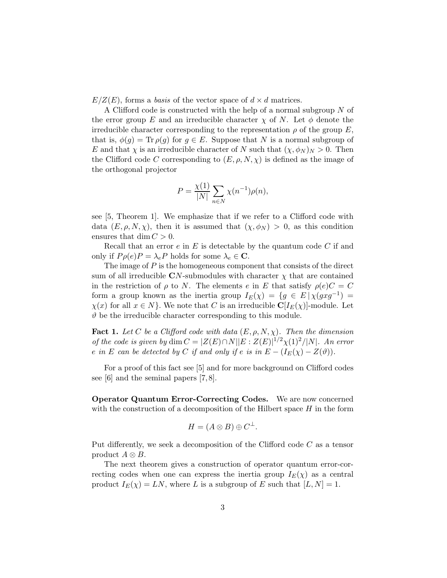$E/Z(E)$ , forms a basis of the vector space of  $d \times d$  matrices.

A Clifford code is constructed with the help of a normal subgroup N of the error group E and an irreducible character  $\chi$  of N. Let  $\phi$  denote the irreducible character corresponding to the representation  $\rho$  of the group E, that is,  $\phi(g) = \text{Tr}\,\rho(g)$  for  $g \in E$ . Suppose that N is a normal subgroup of E and that  $\chi$  is an irreducible character of N such that  $(\chi, \phi_N)_N > 0$ . Then the Clifford code C corresponding to  $(E, \rho, N, \chi)$  is defined as the image of the orthogonal projector

$$
P = \frac{\chi(1)}{|N|} \sum_{n \in N} \chi(n^{-1}) \rho(n),
$$

see [5, Theorem 1]. We emphasize that if we refer to a Clifford code with data  $(E, \rho, N, \chi)$ , then it is assumed that  $(\chi, \phi_N) > 0$ , as this condition ensures that  $\dim C > 0$ .

Recall that an error  $e$  in  $E$  is detectable by the quantum code  $C$  if and only if  $P \rho(e) P = \lambda_e P$  holds for some  $\lambda_e \in \mathbf{C}$ .

The image of P is the homogeneous component that consists of the direct sum of all irreducible CN-submodules with character  $\chi$  that are contained in the restriction of  $\rho$  to N. The elements e in E that satisfy  $\rho(e)C = C$ form a group known as the inertia group  $I_E(\chi) = \{ g \in E \mid \chi(gxg^{-1}) =$  $\chi(x)$  for all  $x \in N$ . We note that C is an irreducible  $\mathbf{C}[I_E(\chi)]$ -module. Let  $\vartheta$  be the irreducible character corresponding to this module.

**Fact 1.** Let C be a Clifford code with data  $(E, \rho, N, \chi)$ . Then the dimension of the code is given by dim  $C = |Z(E) \cap N||E : Z(E)|^{1/2} \chi(1)^2/|N|$ . An error e in E can be detected by C if and only if e is in  $E - (I_E(\chi) - Z(\vartheta))$ .

For a proof of this fact see [5] and for more background on Clifford codes see [6] and the seminal papers [7, 8].

Operator Quantum Error-Correcting Codes. We are now concerned with the construction of a decomposition of the Hilbert space  $H$  in the form

$$
H = (A \otimes B) \oplus C^{\perp}.
$$

Put differently, we seek a decomposition of the Clifford code C as a tensor product  $A \otimes B$ .

The next theorem gives a construction of operator quantum error-correcting codes when one can express the inertia group  $I_E(\chi)$  as a central product  $I_E(\chi) = LN$ , where L is a subgroup of E such that  $[L, N] = 1$ .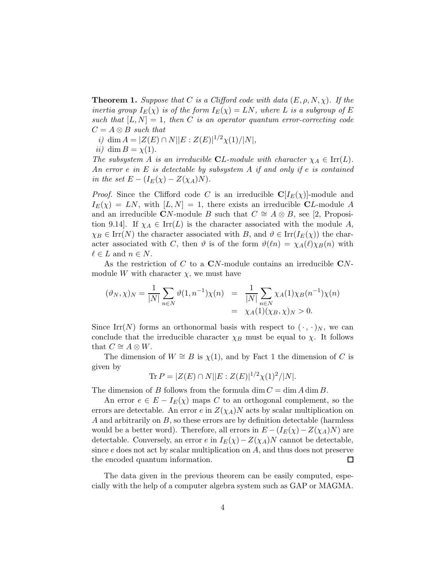**Theorem 1.** Suppose that C is a Clifford code with data  $(E, \rho, N, \chi)$ . If the inertia group  $I_E(\chi)$  is of the form  $I_E(\chi) = LN$ , where L is a subgroup of E such that  $[L, N] = 1$ , then C is an operator quantum error-correcting code  $C = A \otimes B$  such that

i) dim  $A = |Z(E) \cap N||E : Z(E)|^{1/2} \chi(1)/|N|$ ,

ii) dim  $B = \chi(1)$ .

The subsystem A is an irreducible **C**L-module with character  $\chi_A \in \text{Irr}(L)$ . An error e in  $E$  is detectable by subsystem  $A$  if and only if e is contained in the set  $E - (I_E(\chi) - Z(\chi_A)N)$ .

*Proof.* Since the Clifford code C is an irreducible  $C[I_E(\chi)]$ -module and  $I_{E}(\chi) = LN$ , with  $[L, N] = 1$ , there exists an irreducible CL-module A and an irreducible CN-module B such that  $C \cong A \otimes B$ , see [2, Proposition 9.14. If  $\chi_A \in \text{Irr}(L)$  is the character associated with the module A,  $\chi_B \in \text{Irr}(N)$  the character associated with B, and  $\vartheta \in \text{Irr}(I_E(\chi))$  the character associated with C, then  $\vartheta$  is of the form  $\vartheta(\ell n) = \chi_A(\ell) \chi_B(n)$  with  $\ell \in L$  and  $n \in N$ .

As the restriction of  $C$  to a  $CN$ -module contains an irreducible  $CN$ module W with character  $\chi$ , we must have

$$
(\vartheta_N, \chi)_N = \frac{1}{|N|} \sum_{n \in N} \vartheta(1, n^{-1}) \chi(n) = \frac{1}{|N|} \sum_{n \in N} \chi_A(1) \chi_B(n^{-1}) \chi(n) = \chi_A(1) (\chi_B, \chi)_N > 0.
$$

Since Irr(N) forms an orthonormal basis with respect to  $(\cdot, \cdot)_N$ , we can conclude that the irreducible character  $\chi_B$  must be equal to  $\chi$ . It follows that  $C \cong A \otimes W$ .

The dimension of  $W \cong B$  is  $\chi(1)$ , and by Fact 1 the dimension of C is given by

$$
\text{Tr}\,P = |Z(E) \cap N||E : Z(E)|^{1/2} \chi(1)^2 / |N|.
$$

The dimension of B follows from the formula dim  $C = \dim A \dim B$ .

An error  $e \in E - I_E(\chi)$  maps C to an orthogonal complement, so the errors are detectable. An error e in  $Z(\chi_A)N$  acts by scalar multiplication on A and arbitrarily on  $B$ , so these errors are by definition detectable (harmless would be a better word). Therefore, all errors in  $E - (I_E(\chi) - Z(\chi_A)N)$  are detectable. Conversely, an error e in  $I_E(\chi) - Z(\chi_A)N$  cannot be detectable, since e does not act by scalar multiplication on A, and thus does not preserve the encoded quantum information. □

The data given in the previous theorem can be easily computed, especially with the help of a computer algebra system such as GAP or MAGMA.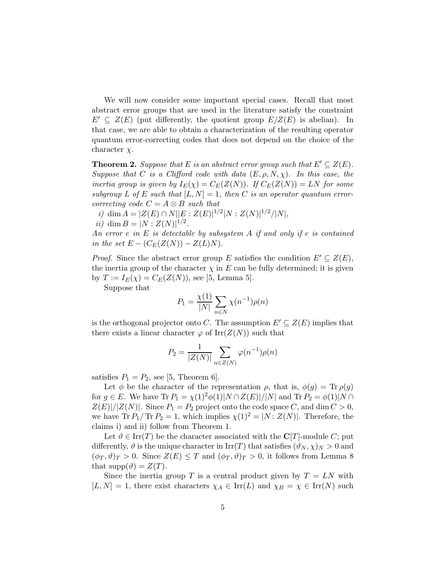We will now consider some important special cases. Recall that most abstract error groups that are used in the literature satisfy the constraint  $E' \subseteq Z(E)$  (put differently, the quotient group  $E/Z(E)$  is abelian). In that case, we are able to obtain a characterization of the resulting operator quantum error-correcting codes that does not depend on the choice of the character  $\chi$ .

**Theorem 2.** Suppose that E is an abstract error group such that  $E' \subseteq Z(E)$ . Suppose that C is a Clifford code with data  $(E, \rho, N, \chi)$ . In this case, the inertia group is given by  $I_E(\chi) = C_E(Z(N))$ . If  $C_E(Z(N)) = LN$  for some subgroup L of E such that  $[L, N] = 1$ , then C is an operator quantum errorcorrecting code  $C = A \otimes B$  such that

i) dim  $A = |Z(E) \cap N||E : Z(E)|^{1/2}|N : Z(N)|^{1/2}/|N|,$ 

ii) dim  $B = |N : Z(N)|^{1/2}$ .

An error  $e$  in  $E$  is detectable by subsystem  $A$  if and only if  $e$  is contained in the set  $E - (C_E(Z(N)) - Z(L)N)$ .

*Proof.* Since the abstract error group E satisfies the condition  $E' \subseteq Z(E)$ , the inertia group of the character  $\chi$  in E can be fully determined; it is given by  $T := I_E(\chi) = C_E(Z(N))$ , see [5, Lemma 5].

Suppose that

$$
P_1 = \frac{\chi(1)}{|N|} \sum_{n \in N} \chi(n^{-1}) \rho(n)
$$

is the orthogonal projector onto C. The assumption  $E' \subseteq Z(E)$  implies that there exists a linear character  $\varphi$  of Irr( $Z(N)$ ) such that

$$
P_2 = \frac{1}{|Z(N)|} \sum_{n \in Z(N)} \varphi(n^{-1}) \rho(n)
$$

satisfies  $P_1 = P_2$ , see [5, Theorem 6].

Let  $\phi$  be the character of the representation  $\rho$ , that is,  $\phi(g) = \text{Tr} \rho(g)$ for  $g \in E$ . We have  $\text{Tr } P_1 = \chi(1)^2 \phi(1) |N \cap Z(E)| / |N|$  and  $\text{Tr } P_2 = \phi(1) |N \cap$  $Z(E)|/|Z(N)|$ . Since  $P_1 = P_2$  project onto the code space C, and dim  $C > 0$ , we have Tr  $P_1/Tr P_2 = 1$ , which implies  $\chi(1)^2 = |N:Z(N)|$ . Therefore, the claims i) and ii) follow from Theorem 1.

Let  $\vartheta \in \text{Irr}(T)$  be the character associated with the  $\mathbb{C}[T]$ -module C; put differently,  $\vartheta$  is the unique character in  $\text{Irr}(T)$  that satisfies  $(\vartheta_N, \chi)_N > 0$  and  $(\phi_T, \vartheta)_T > 0$ . Since  $Z(E) \leq T$  and  $(\phi_T, \vartheta)_T > 0$ , it follows from Lemma 8 that  $supp(\vartheta) = Z(T)$ .

Since the inertia group T is a central product given by  $T = LN$  with  $[L, N] = 1$ , there exist characters  $\chi_A \in \text{Irr}(L)$  and  $\chi_B = \chi \in \text{Irr}(N)$  such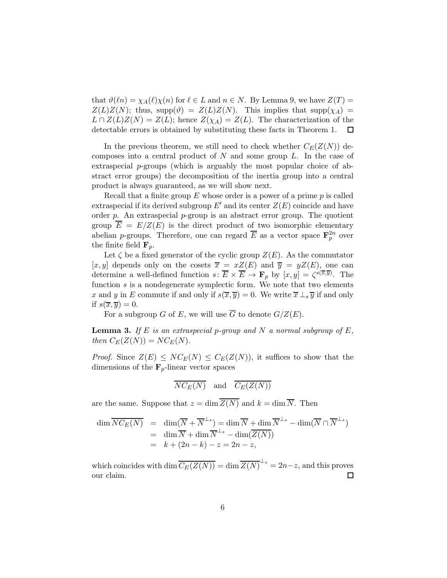that  $\vartheta(\ell n) = \chi_A(\ell)\chi(n)$  for  $\ell \in L$  and  $n \in N$ . By Lemma 9, we have  $Z(T) =$  $Z(L)Z(N)$ ; thus, supp $(\vartheta) = Z(L)Z(N)$ . This implies that supp $(\chi_A)$  $L \cap Z(L)Z(N) = Z(L)$ ; hence  $Z(\chi_A) = Z(L)$ . The characterization of the detectable errors is obtained by substituting these facts in Theorem 1. ப

In the previous theorem, we still need to check whether  $C_E(Z(N))$  decomposes into a central product of  $N$  and some group  $L$ . In the case of extraspecial  $p$ -groups (which is arguably the most popular choice of abstract error groups) the decomposition of the inertia group into a central product is always guaranteed, as we will show next.

Recall that a finite group  $E$  whose order is a power of a prime  $p$  is called extraspecial if its derived subgroup  $E'$  and its center  $Z(E)$  coincide and have order  $p$ . An extraspecial  $p$ -group is an abstract error group. The quotient group  $\overline{E} = E/Z(E)$  is the direct product of two isomorphic elementary abelian *p*-groups. Therefore, one can regard  $\overline{E}$  as a vector space  $\mathbf{F}_p^{2n}$  over the finite field  $\mathbf{F}_p$ .

Let  $\zeta$  be a fixed generator of the cyclic group  $Z(E)$ . As the commutator [x, y] depends only on the cosets  $\overline{x} = xZ(E)$  and  $\overline{y} = yZ(E)$ , one can determine a well-defined function  $s \colon \overline{E} \times \overline{E} \to \mathbf{F}_p$  by  $[x, y] = \zeta^{s(\overline{x}, \overline{y})}$ . The function  $s$  is a nondegenerate symplectic form. We note that two elements x and y in E commute if and only if  $s(\overline{x}, \overline{y}) = 0$ . We write  $\overline{x} \perp_s \overline{y}$  if and only if  $s(\overline{x}, \overline{y}) = 0$ .

For a subgroup G of E, we will use  $\overline{G}$  to denote  $G/Z(E)$ .

**Lemma 3.** If E is an extraspecial p-group and N a normal subgroup of E, then  $C_E(Z(N)) = NC_E(N)$ .

*Proof.* Since  $Z(E) \leq NC_E(N) \leq C_E(Z(N))$ , it suffices to show that the dimensions of the  $\mathbf{F}_p$ -linear vector spaces

$$
\overline{NC_E(N)}
$$
 and  $\overline{C_E(Z(N))}$ 

are the same. Suppose that  $z = \dim \overline{Z(N)}$  and  $k = \dim \overline{N}$ . Then

$$
\dim \overline{NC_E(N)} = \dim (\overline{N} + \overline{N}^{\perp_s}) = \dim \overline{N} + \dim \overline{N}^{\perp_s} - \dim (\overline{N} \cap \overline{N}^{\perp_s})
$$
  
= 
$$
\dim \overline{N} + \dim \overline{N}^{\perp_s} - \dim (\overline{Z(N)})
$$
  
= 
$$
k + (2n - k) - z = 2n - z,
$$

which coincides with  $\dim \overline{C_E(Z(N))} = \dim \overline{Z(N)}^{\perp_s} = 2n - z$ , and this proves our claim.  $\Box$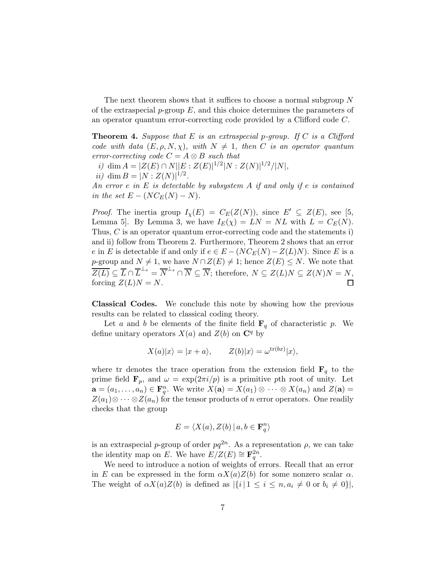The next theorem shows that it suffices to choose a normal subgroup  $N$ of the extraspecial  $p$ -group  $E$ , and this choice determines the parameters of an operator quantum error-correcting code provided by a Clifford code C.

**Theorem 4.** Suppose that E is an extraspecial p-group. If C is a Clifford code with data  $(E, \rho, N, \chi)$ , with  $N \neq 1$ , then C is an operator quantum error-correcting code  $C = A \otimes B$  such that

i) dim  $A = |Z(E) \cap N||E : Z(E)|^{1/2}|N : Z(N)|^{1/2}/|N|,$ ii) dim  $B = |N : Z(N)|^{1/2}$ .

An error e in  $E$  is detectable by subsystem  $A$  if and only if e is contained in the set  $E - (NC_E(N) - N)$ .

*Proof.* The inertia group  $I_{\chi}(E) = C_E(Z(N))$ , since  $E' \subseteq Z(E)$ , see [5, Lemma 5. By Lemma 3, we have  $I_E(\chi) = LN = NL$  with  $L = C_E(N)$ . Thus, C is an operator quantum error-correcting code and the statements i) and ii) follow from Theorem 2. Furthermore, Theorem 2 shows that an error e in E is detectable if and only if  $e \in E - (NC_E(N) - Z(L)N)$ . Since E is a p-group and  $N \neq 1$ , we have  $N \cap Z(E) \neq 1$ ; hence  $Z(E) \leq N$ . We note that  $\overline{Z(L)} \subseteq \overline{L} \cap \overline{L}^{\perp_s} = \overline{N}^{\perp_s} \cap \overline{N} \subseteq \overline{N}$ ; therefore,  $N \subseteq Z(L)N \subseteq Z(N)N = N$ , forcing  $Z(L)N = N$ .  $\Box$ 

Classical Codes. We conclude this note by showing how the previous results can be related to classical coding theory.

Let a and b be elements of the finite field  $\mathbf{F}_q$  of characteristic p. We define unitary operators  $X(a)$  and  $Z(b)$  on  $\mathbb{C}^q$  by

$$
X(a)|x\rangle = |x + a\rangle, \qquad Z(b)|x\rangle = \omega^{\text{tr}(bx)}|x\rangle,
$$

where tr denotes the trace operation from the extension field  $\mathbf{F}_q$  to the prime field  $\mathbf{F}_p$ , and  $\omega = \exp(2\pi i/p)$  is a primitive pth root of unity. Let  $\mathbf{a} = (a_1, \dots, a_n) \in \mathbf{F}_q^n$ . We write  $X(\mathbf{a}) = X(a_1) \otimes \cdots \otimes X(a_n)$  and  $Z(\mathbf{a}) =$  $Z(a_1)\otimes\cdots\otimes Z(a_n)$  for the tensor products of n error operators. One readily checks that the group

$$
E = \langle X(a), Z(b) \, | \, a, b \in \mathbf{F}_q^n \rangle
$$

is an extraspecial p-group of order  $pq^{2n}$ . As a representation  $\rho$ , we can take the identity map on E. We have  $E/Z(E) \cong \mathbf{F}_q^{2n}$ .

We need to introduce a notion of weights of errors. Recall that an error in E can be expressed in the form  $\alpha X(a)Z(b)$  for some nonzero scalar  $\alpha$ . The weight of  $\alpha X(a)Z(b)$  is defined as  $|\{i\,|\,1 \leq i \leq n, a_i \neq 0 \text{ or } b_i \neq 0\}|$ ,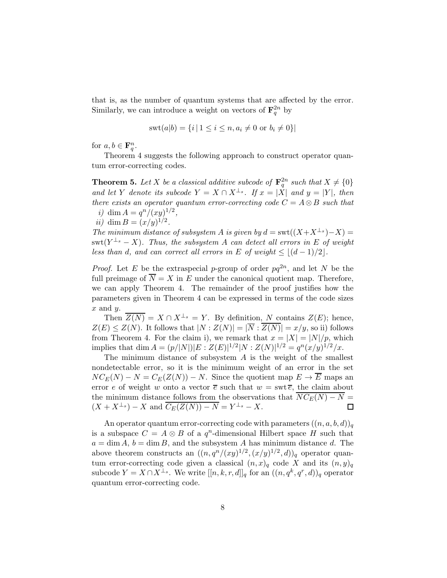that is, as the number of quantum systems that are affected by the error. Similarly, we can introduce a weight on vectors of  $\mathbf{F}_q^{2n}$  by

$$
swt(a|b) = \{i \mid 1 \le i \le n, a_i \ne 0 \text{ or } b_i \ne 0\}\
$$

for  $a, b \in \mathbf{F}_q^n$ .

Theorem 4 suggests the following approach to construct operator quantum error-correcting codes.

**Theorem 5.** Let X be a classical additive subcode of  $\mathbf{F}_q^{2n}$  such that  $X \neq \{0\}$ and let Y denote its subcode  $Y = X \cap X^{\perp_s}$ . If  $x = |X|$  and  $y = |Y|$ , then there exists an operator quantum error-correcting code  $C = A \otimes B$  such that i) dim  $A = q^n/(xy)^{1/2}$ ,

*ii*) dim  $B = (x/y)^{1/2}$ .

The minimum distance of subsystem A is given by  $d = \text{swt}((X+X^{\perp_s})-X) =$  $\text{swt}(Y^{\perp_s}-X)$ . Thus, the subsystem A can detect all errors in E of weight less than d, and can correct all errors in E of weight  $\leq |(d-1)/2|$ .

*Proof.* Let E be the extraspecial p-group of order  $pq^{2n}$ , and let N be the full preimage of  $\overline{N} = X$  in E under the canonical quotient map. Therefore, we can apply Theorem 4. The remainder of the proof justifies how the parameters given in Theorem 4 can be expressed in terms of the code sizes  $x$  and  $y$ .

Then  $\overline{Z(N)} = X \cap X^{\perp_s} = Y$ . By definition, N contains  $Z(E)$ ; hence,  $Z(E) \leq Z(N)$ . It follows that  $|N:Z(N)| = |\overline{N} : \overline{Z(N)}| = x/y$ , so ii) follows from Theorem 4. For the claim i), we remark that  $x = |X| = |N|/p$ , which implies that dim  $A = (p/|N|)|E : Z(E)|^{1/2}|N : Z(N)|^{1/2} = q^{n}(x/y)^{1/2}/x$ .

The minimum distance of subsystem  $A$  is the weight of the smallest nondetectable error, so it is the minimum weight of an error in the set  $NC_E(N) - N = C_E(Z(N)) - N$ . Since the quotient map  $E \to \overline{E}$  maps an error e of weight w onto a vector  $\bar{e}$  such that  $w = \text{swt } \bar{e}$ , the claim about the minimum distance follows from the observations that  $\overline{NC_E(N) - N} =$  $(X + X^{\perp_s}) - X$  and  $\overline{C_E(Z(N)) - N} = Y^{\perp_s} - X$ .  $\Box$ 

An operator quantum error-correcting code with parameters  $((n, a, b, d))_q$ is a subspace  $C = A \otimes B$  of a  $q^n$ -dimensional Hilbert space H such that  $a = \dim A$ ,  $b = \dim B$ , and the subsystem A has minimum distance d. The above theorem constructs an  $((n, q^n/(xy)^{1/2}, (x/y)^{1/2}, d))_q$  operator quantum error-correcting code given a classical  $(n, x)_q$  code X and its  $(n, y)_q$ subcode  $Y = X \cap X^{\perp_s}$ . We write  $[[n, k, r, d]]_q$  for an  $((n, q^k, q^r, d))_q$  operator quantum error-correcting code.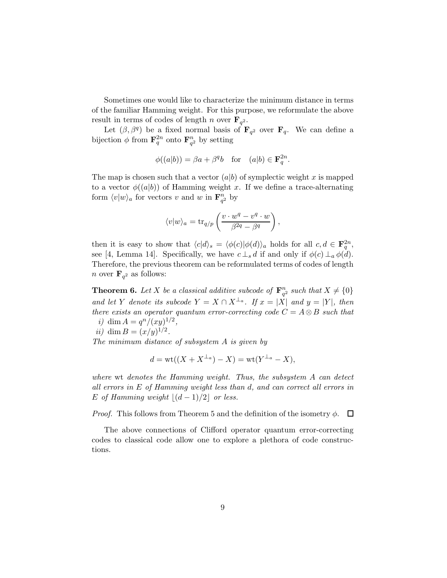Sometimes one would like to characterize the minimum distance in terms of the familiar Hamming weight. For this purpose, we reformulate the above result in terms of codes of length n over  $\mathbf{F}_{q^2}$ .

Let  $(\beta, \beta^q)$  be a fixed normal basis of  $\mathbf{F}_{q^2}$  over  $\mathbf{F}_q$ . We can define a bijection  $\phi$  from  $\mathbf{F}_q^{2n}$  onto  $\mathbf{F}_{q^2}^n$  by setting

$$
\phi((a|b)) = \beta a + \beta^q b \quad \text{for} \quad (a|b) \in \mathbf{F}_q^{2n}.
$$

The map is chosen such that a vector  $(a|b)$  of symplectic weight x is mapped to a vector  $\phi((a|b))$  of Hamming weight x. If we define a trace-alternating form  $\langle v|w\rangle_a$  for vectors v and w in  $\mathbf{F}_{q^2}^n$  by

$$
\langle v|w\rangle_a = \text{tr}_{q/p}\left(\frac{v\cdot w^q - v^q\cdot w}{\beta^{2q}-\beta^q}\right),\,
$$

then it is easy to show that  $\langle c|d\rangle_s = \langle \phi(c)|\phi(d)\rangle_a$  holds for all  $c, d \in \mathbf{F}_q^{2n}$ , see [4, Lemma 14]. Specifically, we have  $c \perp_s d$  if and only if  $\phi(c) \perp_a \phi(d)$ . Therefore, the previous theorem can be reformulated terms of codes of length *n* over  $\mathbf{F}_{q^2}$  as follows:

**Theorem 6.** Let X be a classical additive subcode of  $\mathbf{F}_{q^2}^n$  such that  $X \neq \{0\}$ and let Y denote its subcode  $Y = X \cap X^{\perp_a}$ . If  $x = |X|$  and  $y = |Y|$ , then there exists an operator quantum error-correcting code  $C = A \otimes B$  such that i) dim  $A = q^n/(xy)^{1/2}$ ,

*ii*) dim  $B = (x/y)^{1/2}$ .

The minimum distance of subsystem A is given by

$$
d = \text{wt}((X + X^{\perp_a}) - X) = \text{wt}(Y^{\perp_a} - X),
$$

where wt denotes the Hamming weight. Thus, the subsystem  $A$  can detect all errors in E of Hamming weight less than d, and can correct all errors in E of Hamming weight  $|(d-1)/2|$  or less.

*Proof.* This follows from Theorem 5 and the definition of the isometry  $\phi$ .  $\Box$ 

The above connections of Clifford operator quantum error-correcting codes to classical code allow one to explore a plethora of code constructions.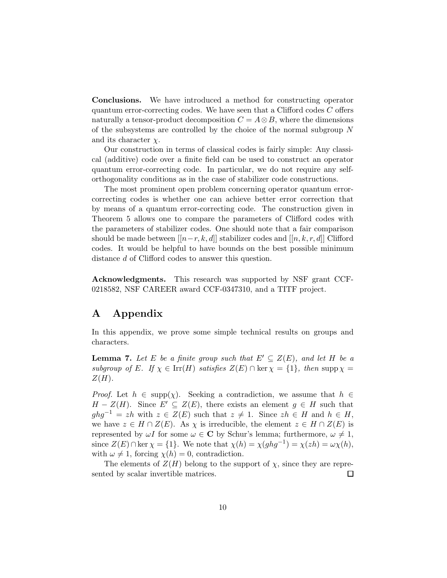Conclusions. We have introduced a method for constructing operator quantum error-correcting codes. We have seen that a Clifford codes C offers naturally a tensor-product decomposition  $C = A \otimes B$ , where the dimensions of the subsystems are controlled by the choice of the normal subgroup N and its character  $\chi$ .

Our construction in terms of classical codes is fairly simple: Any classical (additive) code over a finite field can be used to construct an operator quantum error-correcting code. In particular, we do not require any selforthogonality conditions as in the case of stabilizer code constructions.

The most prominent open problem concerning operator quantum errorcorrecting codes is whether one can achieve better error correction that by means of a quantum error-correcting code. The construction given in Theorem 5 allows one to compare the parameters of Clifford codes with the parameters of stabilizer codes. One should note that a fair comparison should be made between  $[[n-r, k, d]]$  stabilizer codes and  $[[n, k, r, d]]$  Clifford codes. It would be helpful to have bounds on the best possible minimum distance d of Clifford codes to answer this question.

Acknowledgments. This research was supported by NSF grant CCF-0218582, NSF CAREER award CCF-0347310, and a TITF project.

## A Appendix

In this appendix, we prove some simple technical results on groups and characters.

**Lemma 7.** Let E be a finite group such that  $E' \subseteq Z(E)$ , and let H be a subgroup of E. If  $\chi \in \text{Irr}(H)$  satisfies  $Z(E) \cap \text{ker } \chi = \{1\}$ , then supp $\chi =$  $Z(H)$ .

*Proof.* Let  $h \in \text{supp}(\chi)$ . Seeking a contradiction, we assume that  $h \in$  $H - Z(H)$ . Since  $E' \subseteq Z(E)$ , there exists an element  $g \in H$  such that  $ghg^{-1} = zh$  with  $z \in Z(E)$  such that  $z \neq 1$ . Since  $zh \in H$  and  $h \in H$ , we have  $z \in H \cap Z(E)$ . As  $\chi$  is irreducible, the element  $z \in H \cap Z(E)$  is represented by  $\omega I$  for some  $\omega \in \mathbb{C}$  by Schur's lemma; furthermore,  $\omega \neq 1$ , since  $Z(E) \cap \ker \chi = \{1\}$ . We note that  $\chi(h) = \chi(ghg^{-1}) = \chi(zh) = \omega \chi(h)$ , with  $\omega \neq 1$ , forcing  $\chi(h) = 0$ , contradiction.

The elements of  $Z(H)$  belong to the support of  $\chi$ , since they are represented by scalar invertible matrices.  $\Box$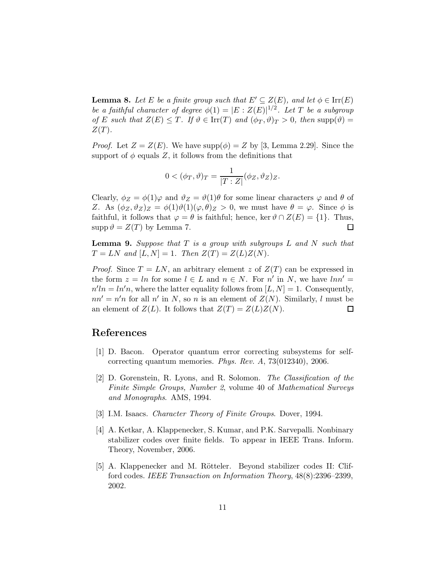**Lemma 8.** Let E be a finite group such that  $E' \subseteq Z(E)$ , and let  $\phi \in \text{Irr}(E)$ be a faithful character of degree  $\phi(1) = |E : Z(E)|^{1/2}$ . Let T be a subgroup of E such that  $Z(E) \leq T$ . If  $\vartheta \in \text{Irr}(T)$  and  $(\phi_T, \vartheta)_T > 0$ , then supp $(\vartheta)$  =  $Z(T)$ .

*Proof.* Let  $Z = Z(E)$ . We have supp $(\phi) = Z$  by [3, Lemma 2.29]. Since the support of  $\phi$  equals Z, it follows from the definitions that

$$
0 < (\phi_T, \vartheta)_T = \frac{1}{|T : Z|} (\phi_Z, \vartheta_Z)_Z.
$$

Clearly,  $\phi_Z = \phi(1)\varphi$  and  $\vartheta_Z = \vartheta(1)\theta$  for some linear characters  $\varphi$  and  $\theta$  of Z. As  $(\phi_Z, \vartheta_Z)_Z = \phi(1)\vartheta(1)(\varphi, \theta)_Z > 0$ , we must have  $\theta = \varphi$ . Since  $\phi$  is faithful, it follows that  $\varphi = \theta$  is faithful; hence, ker  $\vartheta \cap Z(E) = \{1\}$ . Thus,  $\text{supp }\vartheta = Z(T)$  by Lemma 7.  $\Box$ 

**Lemma 9.** Suppose that  $T$  is a group with subgroups  $L$  and  $N$  such that  $T = LN$  and  $[L, N] = 1$ . Then  $Z(T) = Z(L)Z(N)$ .

*Proof.* Since  $T = LN$ , an arbitrary element z of  $Z(T)$  can be expressed in the form  $z = ln$  for some  $l \in L$  and  $n \in N$ . For n' in N, we have  $ln n' =$  $n'ln = ln'n$ , where the latter equality follows from  $[L, N] = 1$ . Consequently,  $nn' = n'n$  for all n' in N, so n is an element of  $Z(N)$ . Similarly, l must be an element of  $Z(L)$ . It follows that  $Z(T) = Z(L)Z(N)$ .  $\Box$ 

## References

- [1] D. Bacon. Operator quantum error correcting subsystems for selfcorrecting quantum memories. Phys. Rev. A, 73(012340), 2006.
- [2] D. Gorenstein, R. Lyons, and R. Solomon. The Classification of the Finite Simple Groups, Number 2, volume 40 of Mathematical Surveys and Monographs. AMS, 1994.
- [3] I.M. Isaacs. Character Theory of Finite Groups. Dover, 1994.
- [4] A. Ketkar, A. Klappenecker, S. Kumar, and P.K. Sarvepalli. Nonbinary stabilizer codes over finite fields. To appear in IEEE Trans. Inform. Theory, November, 2006.
- [5] A. Klappenecker and M. Rötteler. Beyond stabilizer codes II: Clifford codes. IEEE Transaction on Information Theory, 48(8):2396–2399, 2002.